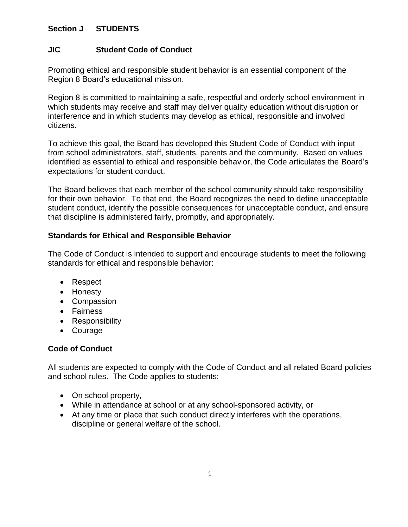# **Section J STUDENTS**

# **JIC Student Code of Conduct**

Promoting ethical and responsible student behavior is an essential component of the Region 8 Board's educational mission.

Region 8 is committed to maintaining a safe, respectful and orderly school environment in which students may receive and staff may deliver quality education without disruption or interference and in which students may develop as ethical, responsible and involved citizens.

To achieve this goal, the Board has developed this Student Code of Conduct with input from school administrators, staff, students, parents and the community. Based on values identified as essential to ethical and responsible behavior, the Code articulates the Board's expectations for student conduct.

The Board believes that each member of the school community should take responsibility for their own behavior. To that end, the Board recognizes the need to define unacceptable student conduct, identify the possible consequences for unacceptable conduct, and ensure that discipline is administered fairly, promptly, and appropriately.

## **Standards for Ethical and Responsible Behavior**

The Code of Conduct is intended to support and encourage students to meet the following standards for ethical and responsible behavior:

- Respect
- Honesty
- Compassion
- Fairness
- Responsibility
- Courage

# **Code of Conduct**

All students are expected to comply with the Code of Conduct and all related Board policies and school rules. The Code applies to students:

- On school property,
- While in attendance at school or at any school-sponsored activity, or
- At any time or place that such conduct directly interferes with the operations, discipline or general welfare of the school.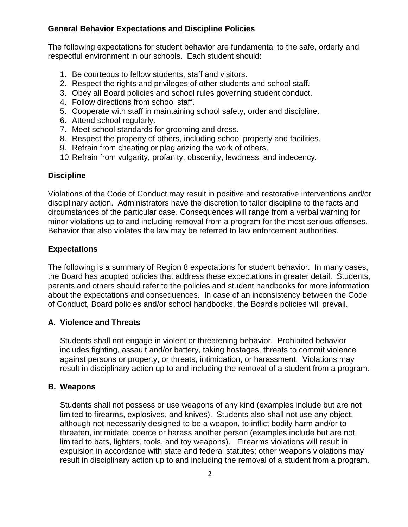## **General Behavior Expectations and Discipline Policies**

The following expectations for student behavior are fundamental to the safe, orderly and respectful environment in our schools. Each student should:

- 1. Be courteous to fellow students, staff and visitors.
- 2. Respect the rights and privileges of other students and school staff.
- 3. Obey all Board policies and school rules governing student conduct.
- 4. Follow directions from school staff.
- 5. Cooperate with staff in maintaining school safety, order and discipline.
- 6. Attend school regularly.
- 7. Meet school standards for grooming and dress.
- 8. Respect the property of others, including school property and facilities.
- 9. Refrain from cheating or plagiarizing the work of others.
- 10.Refrain from vulgarity, profanity, obscenity, lewdness, and indecency.

#### **Discipline**

Violations of the Code of Conduct may result in positive and restorative interventions and/or disciplinary action. Administrators have the discretion to tailor discipline to the facts and circumstances of the particular case. Consequences will range from a verbal warning for minor violations up to and including removal from a program for the most serious offenses. Behavior that also violates the law may be referred to law enforcement authorities.

## **Expectations**

The following is a summary of Region 8 expectations for student behavior. In many cases, the Board has adopted policies that address these expectations in greater detail. Students, parents and others should refer to the policies and student handbooks for more information about the expectations and consequences. In case of an inconsistency between the Code of Conduct, Board policies and/or school handbooks, the Board's policies will prevail.

## **A. Violence and Threats**

Students shall not engage in violent or threatening behavior. Prohibited behavior includes fighting, assault and/or battery, taking hostages, threats to commit violence against persons or property, or threats, intimidation, or harassment. Violations may result in disciplinary action up to and including the removal of a student from a program.

#### **B. Weapons**

Students shall not possess or use weapons of any kind (examples include but are not limited to firearms, explosives, and knives). Students also shall not use any object, although not necessarily designed to be a weapon, to inflict bodily harm and/or to threaten, intimidate, coerce or harass another person (examples include but are not limited to bats, lighters, tools, and toy weapons). Firearms violations will result in expulsion in accordance with state and federal statutes; other weapons violations may result in disciplinary action up to and including the removal of a student from a program.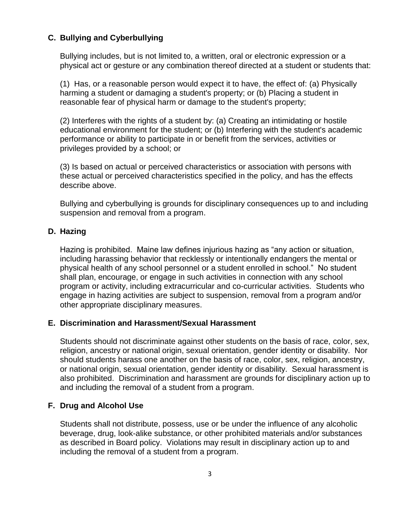## **C. Bullying and Cyberbullying**

Bullying includes, but is not limited to, a written, oral or electronic expression or a physical act or gesture or any combination thereof directed at a student or students that:

(1) Has, or a reasonable person would expect it to have, the effect of: (a) Physically harming a student or damaging a student's property; or (b) Placing a student in reasonable fear of physical harm or damage to the student's property;

(2) Interferes with the rights of a student by: (a) Creating an intimidating or hostile educational environment for the student; or (b) Interfering with the student's academic performance or ability to participate in or benefit from the services, activities or privileges provided by a school; or

(3) Is based on actual or perceived characteristics or association with persons with these actual or perceived characteristics specified in the policy, and has the effects describe above.

Bullying and cyberbullying is grounds for disciplinary consequences up to and including suspension and removal from a program.

#### **D. Hazing**

Hazing is prohibited. Maine law defines injurious hazing as "any action or situation, including harassing behavior that recklessly or intentionally endangers the mental or physical health of any school personnel or a student enrolled in school." No student shall plan, encourage, or engage in such activities in connection with any school program or activity, including extracurricular and co-curricular activities. Students who engage in hazing activities are subject to suspension, removal from a program and/or other appropriate disciplinary measures.

#### **E. Discrimination and Harassment/Sexual Harassment**

Students should not discriminate against other students on the basis of race, color, sex, religion, ancestry or national origin, sexual orientation, gender identity or disability. Nor should students harass one another on the basis of race, color, sex, religion, ancestry, or national origin, sexual orientation, gender identity or disability. Sexual harassment is also prohibited. Discrimination and harassment are grounds for disciplinary action up to and including the removal of a student from a program.

## **F. Drug and Alcohol Use**

Students shall not distribute, possess, use or be under the influence of any alcoholic beverage, drug, look-alike substance, or other prohibited materials and/or substances as described in Board policy. Violations may result in disciplinary action up to and including the removal of a student from a program.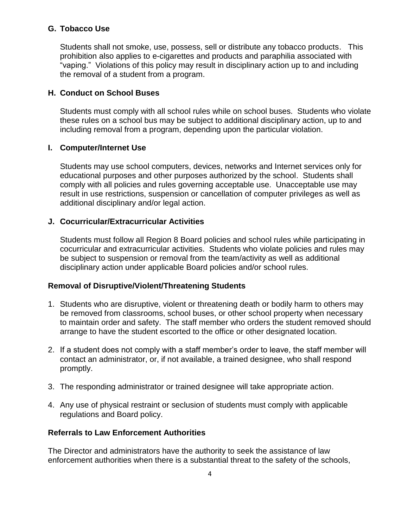## **G. Tobacco Use**

Students shall not smoke, use, possess, sell or distribute any tobacco products. This prohibition also applies to e-cigarettes and products and paraphilia associated with "vaping." Violations of this policy may result in disciplinary action up to and including the removal of a student from a program.

# **H. Conduct on School Buses**

Students must comply with all school rules while on school buses. Students who violate these rules on a school bus may be subject to additional disciplinary action, up to and including removal from a program, depending upon the particular violation.

## **I. Computer/Internet Use**

Students may use school computers, devices, networks and Internet services only for educational purposes and other purposes authorized by the school. Students shall comply with all policies and rules governing acceptable use. Unacceptable use may result in use restrictions, suspension or cancellation of computer privileges as well as additional disciplinary and/or legal action.

## **J. Cocurricular/Extracurricular Activities**

Students must follow all Region 8 Board policies and school rules while participating in cocurricular and extracurricular activities. Students who violate policies and rules may be subject to suspension or removal from the team/activity as well as additional disciplinary action under applicable Board policies and/or school rules.

## **Removal of Disruptive/Violent/Threatening Students**

- 1. Students who are disruptive, violent or threatening death or bodily harm to others may be removed from classrooms, school buses, or other school property when necessary to maintain order and safety. The staff member who orders the student removed should arrange to have the student escorted to the office or other designated location.
- 2. If a student does not comply with a staff member's order to leave, the staff member will contact an administrator, or, if not available, a trained designee, who shall respond promptly.
- 3. The responding administrator or trained designee will take appropriate action.
- 4. Any use of physical restraint or seclusion of students must comply with applicable regulations and Board policy.

## **Referrals to Law Enforcement Authorities**

The Director and administrators have the authority to seek the assistance of law enforcement authorities when there is a substantial threat to the safety of the schools,